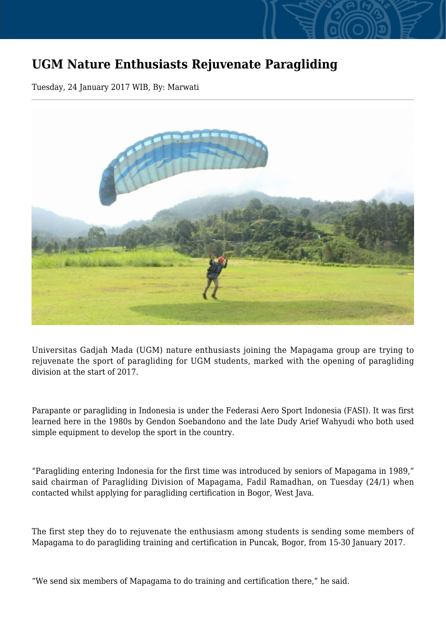## **UGM Nature Enthusiasts Rejuvenate Paragliding**

Tuesday, 24 January 2017 WIB, By: Marwati



Universitas Gadjah Mada (UGM) nature enthusiasts joining the Mapagama group are trying to rejuvenate the sport of paragliding for UGM students, marked with the opening of paragliding division at the start of 2017.

Parapante or paragliding in Indonesia is under the Federasi Aero Sport Indonesia (FASI). It was first learned here in the 1980s by Gendon Soebandono and the late Dudy Arief Wahyudi who both used simple equipment to develop the sport in the country.

"Paragliding entering Indonesia for the first time was introduced by seniors of Mapagama in 1989," said chairman of Paragliding Division of Mapagama, Fadil Ramadhan, on Tuesday (24/1) when contacted whilst applying for paragliding certification in Bogor, West Java.

The first step they do to rejuvenate the enthusiasm among students is sending some members of Mapagama to do paragliding training and certification in Puncak, Bogor, from 15-30 January 2017.

"We send six members of Mapagama to do training and certification there," he said.